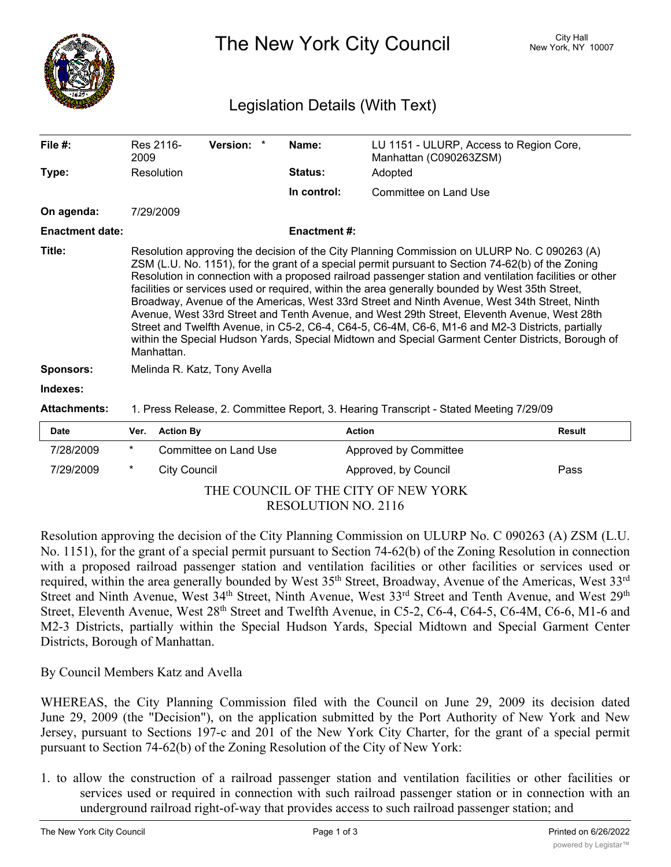

The New York City Council New York, NY 10007

## Legislation Details (With Text)

| File $#$ :             | 2009                                                                                                                                                                                                                                                                                                                                                                                                                                                                                                                                                                                                                                                                                                                                                                                                                                 | Res 2116-           | Version: *            |  | Name:              | LU 1151 - ULURP, Access to Region Core,<br>Manhattan (C090263ZSM) |               |
|------------------------|--------------------------------------------------------------------------------------------------------------------------------------------------------------------------------------------------------------------------------------------------------------------------------------------------------------------------------------------------------------------------------------------------------------------------------------------------------------------------------------------------------------------------------------------------------------------------------------------------------------------------------------------------------------------------------------------------------------------------------------------------------------------------------------------------------------------------------------|---------------------|-----------------------|--|--------------------|-------------------------------------------------------------------|---------------|
| Type:                  |                                                                                                                                                                                                                                                                                                                                                                                                                                                                                                                                                                                                                                                                                                                                                                                                                                      | Resolution          |                       |  | Status:            | Adopted                                                           |               |
|                        |                                                                                                                                                                                                                                                                                                                                                                                                                                                                                                                                                                                                                                                                                                                                                                                                                                      |                     |                       |  | In control:        | Committee on Land Use                                             |               |
| On agenda:             |                                                                                                                                                                                                                                                                                                                                                                                                                                                                                                                                                                                                                                                                                                                                                                                                                                      | 7/29/2009           |                       |  |                    |                                                                   |               |
| <b>Enactment date:</b> |                                                                                                                                                                                                                                                                                                                                                                                                                                                                                                                                                                                                                                                                                                                                                                                                                                      |                     |                       |  | <b>Enactment#:</b> |                                                                   |               |
| Title:                 | Resolution approving the decision of the City Planning Commission on ULURP No. C 090263 (A)<br>ZSM (L.U. No. 1151), for the grant of a special permit pursuant to Section 74-62(b) of the Zoning<br>Resolution in connection with a proposed railroad passenger station and ventilation facilities or other<br>facilities or services used or required, within the area generally bounded by West 35th Street,<br>Broadway, Avenue of the Americas, West 33rd Street and Ninth Avenue, West 34th Street, Ninth<br>Avenue, West 33rd Street and Tenth Avenue, and West 29th Street, Eleventh Avenue, West 28th<br>Street and Twelfth Avenue, in C5-2, C6-4, C64-5, C6-4M, C6-6, M1-6 and M2-3 Districts, partially<br>within the Special Hudson Yards, Special Midtown and Special Garment Center Districts, Borough of<br>Manhattan. |                     |                       |  |                    |                                                                   |               |
| <b>Sponsors:</b>       | Melinda R. Katz, Tony Avella                                                                                                                                                                                                                                                                                                                                                                                                                                                                                                                                                                                                                                                                                                                                                                                                         |                     |                       |  |                    |                                                                   |               |
| Indexes:               |                                                                                                                                                                                                                                                                                                                                                                                                                                                                                                                                                                                                                                                                                                                                                                                                                                      |                     |                       |  |                    |                                                                   |               |
| <b>Attachments:</b>    | 1. Press Release, 2. Committee Report, 3. Hearing Transcript - Stated Meeting 7/29/09                                                                                                                                                                                                                                                                                                                                                                                                                                                                                                                                                                                                                                                                                                                                                |                     |                       |  |                    |                                                                   |               |
| Date                   | Ver.                                                                                                                                                                                                                                                                                                                                                                                                                                                                                                                                                                                                                                                                                                                                                                                                                                 | <b>Action By</b>    |                       |  | <b>Action</b>      |                                                                   | <b>Result</b> |
| 7/28/2009              | $^\star$                                                                                                                                                                                                                                                                                                                                                                                                                                                                                                                                                                                                                                                                                                                                                                                                                             |                     | Committee on Land Use |  |                    | Approved by Committee                                             |               |
| 7/29/2009              | $^\ast$                                                                                                                                                                                                                                                                                                                                                                                                                                                                                                                                                                                                                                                                                                                                                                                                                              | <b>City Council</b> |                       |  |                    | Approved, by Council                                              | Pass          |

## THE COUNCIL OF THE CITY OF NEW YORK RESOLUTION NO. 2116

Resolution approving the decision of the City Planning Commission on ULURP No. C 090263 (A) ZSM (L.U. No. 1151), for the grant of a special permit pursuant to Section 74-62(b) of the Zoning Resolution in connection with a proposed railroad passenger station and ventilation facilities or other facilities or services used or required, within the area generally bounded by West 35<sup>th</sup> Street, Broadway, Avenue of the Americas, West 33<sup>rd</sup> Street and Ninth Avenue, West 34<sup>th</sup> Street, Ninth Avenue, West 33<sup>rd</sup> Street and Tenth Avenue, and West 29<sup>th</sup> Street, Eleventh Avenue, West 28<sup>th</sup> Street and Twelfth Avenue, in C5-2, C6-4, C64-5, C6-4M, C6-6, M1-6 and M2-3 Districts, partially within the Special Hudson Yards, Special Midtown and Special Garment Center Districts, Borough of Manhattan.

By Council Members Katz and Avella

WHEREAS, the City Planning Commission filed with the Council on June 29, 2009 its decision dated June 29, 2009 (the "Decision"), on the application submitted by the Port Authority of New York and New Jersey, pursuant to Sections 197-c and 201 of the New York City Charter, for the grant of a special permit pursuant to Section 74-62(b) of the Zoning Resolution of the City of New York:

1. to allow the construction of a railroad passenger station and ventilation facilities or other facilities or services used or required in connection with such railroad passenger station or in connection with an underground railroad right-of-way that provides access to such railroad passenger station; and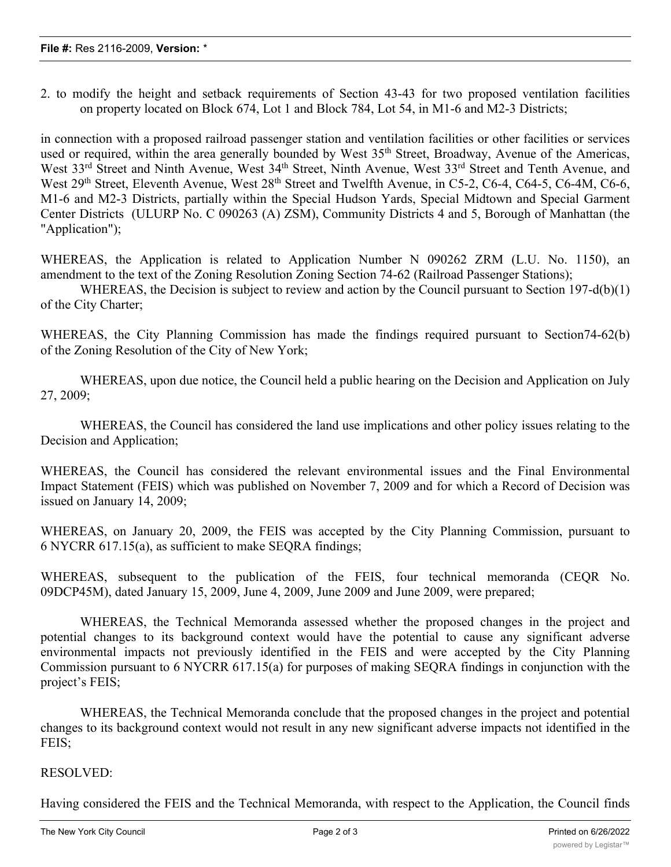2. to modify the height and setback requirements of Section 43-43 for two proposed ventilation facilities on property located on Block 674, Lot 1 and Block 784, Lot 54, in M1-6 and M2-3 Districts;

in connection with a proposed railroad passenger station and ventilation facilities or other facilities or services used or required, within the area generally bounded by West 35<sup>th</sup> Street, Broadway, Avenue of the Americas, West 33<sup>rd</sup> Street and Ninth Avenue, West 34<sup>th</sup> Street, Ninth Avenue, West 33<sup>rd</sup> Street and Tenth Avenue, and West 29<sup>th</sup> Street, Eleventh Avenue, West 28<sup>th</sup> Street and Twelfth Avenue, in C5-2, C6-4, C64-5, C6-4M, C6-6, M1-6 and M2-3 Districts, partially within the Special Hudson Yards, Special Midtown and Special Garment Center Districts (ULURP No. C 090263 (A) ZSM), Community Districts 4 and 5, Borough of Manhattan (the "Application");

WHEREAS, the Application is related to Application Number N 090262 ZRM (L.U. No. 1150), an amendment to the text of the Zoning Resolution Zoning Section 74-62 (Railroad Passenger Stations);

WHEREAS, the Decision is subject to review and action by the Council pursuant to Section 197-d(b)(1) of the City Charter;

WHEREAS, the City Planning Commission has made the findings required pursuant to Section74-62(b) of the Zoning Resolution of the City of New York;

WHEREAS, upon due notice, the Council held a public hearing on the Decision and Application on July 27, 2009;

WHEREAS, the Council has considered the land use implications and other policy issues relating to the Decision and Application;

WHEREAS, the Council has considered the relevant environmental issues and the Final Environmental Impact Statement (FEIS) which was published on November 7, 2009 and for which a Record of Decision was issued on January 14, 2009;

WHEREAS, on January 20, 2009, the FEIS was accepted by the City Planning Commission, pursuant to 6 NYCRR 617.15(a), as sufficient to make SEQRA findings;

WHEREAS, subsequent to the publication of the FEIS, four technical memoranda (CEQR No. 09DCP45M), dated January 15, 2009, June 4, 2009, June 2009 and June 2009, were prepared;

WHEREAS, the Technical Memoranda assessed whether the proposed changes in the project and potential changes to its background context would have the potential to cause any significant adverse environmental impacts not previously identified in the FEIS and were accepted by the City Planning Commission pursuant to 6 NYCRR 617.15(a) for purposes of making SEQRA findings in conjunction with the project's FEIS;

WHEREAS, the Technical Memoranda conclude that the proposed changes in the project and potential changes to its background context would not result in any new significant adverse impacts not identified in the FEIS;

## RESOLVED:

Having considered the FEIS and the Technical Memoranda, with respect to the Application, the Council finds